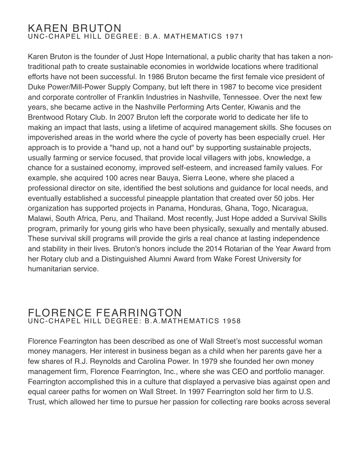### KAREN BRUTON UNC-CHAPEL HILL DEGREE: B.A. MATHEMATICS 1971

Karen Bruton is the founder of Just Hope International, a public charity that has taken a nontraditional path to create sustainable economies in worldwide locations where traditional efforts have not been successful. In 1986 Bruton became the first female vice president of Duke Power/Mill-Power Supply Company, but left there in 1987 to become vice president and corporate controller of Franklin Industries in Nashville, Tennessee. Over the next few years, she became active in the Nashville Performing Arts Center, Kiwanis and the Brentwood Rotary Club. In 2007 Bruton left the corporate world to dedicate her life to making an impact that lasts, using a lifetime of acquired management skills. She focuses on impoverished areas in the world where the cycle of poverty has been especially cruel. Her approach is to provide a "hand up, not a hand out" by supporting sustainable projects, usually farming or service focused, that provide local villagers with jobs, knowledge, a chance for a sustained economy, improved self-esteem, and increased family values. For example, she acquired 100 acres near Bauya, Sierra Leone, where she placed a professional director on site, identified the best solutions and guidance for local needs, and eventually established a successful pineapple plantation that created over 50 jobs. Her organization has supported projects in Panama, Honduras, Ghana, Togo, Nicaragua, Malawi, South Africa, Peru, and Thailand. Most recently, Just Hope added a Survival Skills program, primarily for young girls who have been physically, sexually and mentally abused. These survival skill programs will provide the girls a real chance at lasting independence and stability in their lives. Bruton's honors include the 2014 Rotarian of the Year Award from her Rotary club and a Distinguished Alumni Award from Wake Forest University for humanitarian service.

### FLORENCE FEARRINGTON UNC-CHAPEL HILL DEGREE: B.A.MATHEMATICS 1958

Florence Fearrington has been described as one of Wall Street's most successful woman money managers. Her interest in business began as a child when her parents gave her a few shares of R.J. Reynolds and Carolina Power. In 1979 she founded her own money management firm, Florence Fearrington, Inc., where she was CEO and portfolio manager. Fearrington accomplished this in a culture that displayed a pervasive bias against open and equal career paths for women on Wall Street. In 1997 Fearrington sold her firm to U.S. Trust, which allowed her time to pursue her passion for collecting rare books across several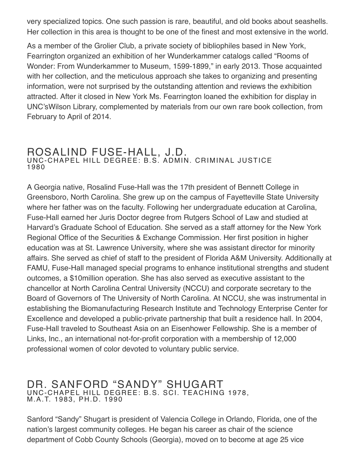very specialized topics. One such passion is rare, beautiful, and old books about seashells. Her collection in this area is thought to be one of the finest and most extensive in the world.

As a member of the Grolier Club, a private society of bibliophiles based in New York, Fearrington organized an exhibition of her Wunderkammer catalogs called "Rooms of Wonder: From Wunderkammer to Museum, 1599-1899," in early 2013. Those acquainted with her collection, and the meticulous approach she takes to organizing and presenting information, were not surprised by the outstanding attention and reviews the exhibition attracted. After it closed in New York Ms. Fearrington loaned the exhibition for display in UNC'sWilson Library, complemented by materials from our own rare book collection, from February to April of 2014.

# ROSALIND FUSE-HALL, J.D.<br>UNC-CHAPEL HILL DEGREE: B.S. ADMIN. CRIMINAL JUSTICE 1980

A Georgia native, Rosalind Fuse-Hall was the 17th president of Bennett College in Greensboro, North Carolina. She grew up on the campus of Fayetteville State University where her father was on the faculty. Following her undergraduate education at Carolina, Fuse-Hall earned her Juris Doctor degree from Rutgers School of Law and studied at Harvard's Graduate School of Education. She served as a staff attorney for the New York Regional Office of the Securities & Exchange Commission. Her first position in higher education was at St. Lawrence University, where she was assistant director for minority affairs. She served as chief of staff to the president of Florida A&M University. Additionally at FAMU, Fuse-Hall managed special programs to enhance institutional strengths and student outcomes, a \$10million operation. She has also served as executive assistant to the chancellor at North Carolina Central University (NCCU) and corporate secretary to the Board of Governors of The University of North Carolina. At NCCU, she was instrumental in establishing the Biomanufacturing Research Institute and Technology Enterprise Center for Excellence and developed a public-private partnership that built a residence hall. In 2004, Fuse-Hall traveled to Southeast Asia on an Eisenhower Fellowship. She is a member of Links, Inc., an international not-for-profit corporation with a membership of 12,000 professional women of color devoted to voluntary public service.

## DR. SANFORD "SANDY" SHUGART UNC-CHAPEL HILL DEGREE: B.S. SCI. TEACHING 1978, M.A.T. 1983, PH.D. <sup>1990</sup>

Sanford "Sandy" Shugart is president of Valencia College in Orlando, Florida, one of the nation's largest community colleges. He began his career as chair of the science department of Cobb County Schools (Georgia), moved on to become at age 25 vice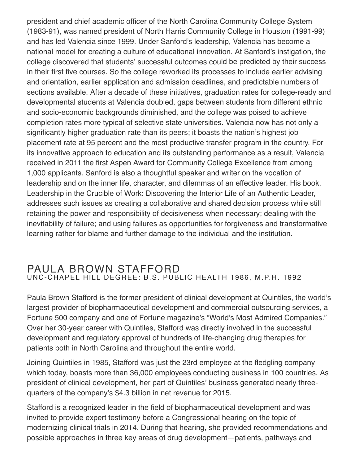president and chief academic officer of the North Carolina Community College System (1983-91), was named president of North Harris Community College in Houston (1991-99) and has led Valencia since 1999. Under Sanford's leadership, Valencia has become a national model for creating a culture of educational innovation. At Sanford's instigation, the college discovered that students' successful outcomes could be predicted by their success in their first five courses. So the college reworked its processes to include earlier advising and orientation, earlier application and admission deadlines, and predictable numbers of sections available. After a decade of these initiatives, graduation rates for college-ready and developmental students at Valencia doubled, gaps between students from different ethnic and socio-economic backgrounds diminished, and the college was poised to achieve completion rates more typical of selective state universities. Valencia now has not only a significantly higher graduation rate than its peers; it boasts the nation's highest job placement rate at 95 percent and the most productive transfer program in the country. For its innovative approach to education and its outstanding performance as a result, Valencia received in 2011 the first Aspen Award for Community College Excellence from among 1,000 applicants. Sanford is also a thoughtful speaker and writer on the vocation of leadership and on the inner life, character, and dilemmas of an effective leader. His book, Leadership in the Crucible of Work: Discovering the Interior Life of an Authentic Leader, addresses such issues as creating a collaborative and shared decision process while still retaining the power and responsibility of decisiveness when necessary; dealing with the inevitability of failure; and using failures as opportunities for forgiveness and transformative learning rather for blame and further damage to the individual and the institution.

#### PAULA BROWN STAFFORD UNC-CHAPEL HILL DEGREE: B.S. PUBLIC HEALTH 1986, M.P.H. 1992

Paula Brown Stafford is the former president of clinical development at Quintiles, the world's largest provider of biopharmaceutical development and commercial outsourcing services, a Fortune 500 company and one of Fortune magazine's "World's Most Admired Companies." Over her 30-year career with Quintiles, Stafford was directly involved in the successful development and regulatory approval of hundreds of life-changing drug therapies for patients both in North Carolina and throughout the entire world.

Joining Quintiles in 1985, Stafford was just the 23rd employee at the fledgling company which today, boasts more than 36,000 employees conducting business in 100 countries. As president of clinical development, her part of Quintiles' business generated nearly threequarters of the company's \$4.3 billion in net revenue for 2015.

Stafford is a recognized leader in the field of biopharmaceutical development and was invited to provide expert testimony before a Congressional hearing on the topic of modernizing clinical trials in 2014. During that hearing, she provided recommendations and possible approaches in three key areas of drug development—patients, pathways and